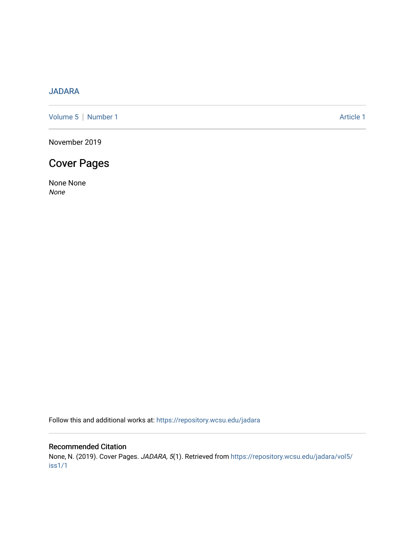## [JADARA](https://repository.wcsu.edu/jadara)

[Volume 5](https://repository.wcsu.edu/jadara/vol5) | [Number 1](https://repository.wcsu.edu/jadara/vol5/iss1) Article 1

November 2019

# Cover Pages

None None None

Follow this and additional works at: [https://repository.wcsu.edu/jadara](https://repository.wcsu.edu/jadara?utm_source=repository.wcsu.edu%2Fjadara%2Fvol5%2Fiss1%2F1&utm_medium=PDF&utm_campaign=PDFCoverPages)

### Recommended Citation

None, N. (2019). Cover Pages. JADARA, 5(1). Retrieved from [https://repository.wcsu.edu/jadara/vol5/](https://repository.wcsu.edu/jadara/vol5/iss1/1?utm_source=repository.wcsu.edu%2Fjadara%2Fvol5%2Fiss1%2F1&utm_medium=PDF&utm_campaign=PDFCoverPages) [iss1/1](https://repository.wcsu.edu/jadara/vol5/iss1/1?utm_source=repository.wcsu.edu%2Fjadara%2Fvol5%2Fiss1%2F1&utm_medium=PDF&utm_campaign=PDFCoverPages)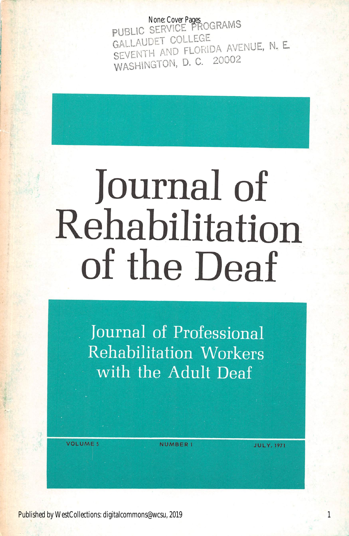PUBLIC SERVICE PROGRAMS SEVENTH AND FLORIDA AVENUE, N. E.<br>WASHINGTON, D. C. 20002 None: Cover Pages

# Journal of Rehabilitation of the Deaf

Journal of Professional Rehabilitation Workers with the Adult Deaf

VOLUME S
NUMBER 1

**JULY, 1971** 

Published by WestCollections: digitalcommons@wcsu, 2019